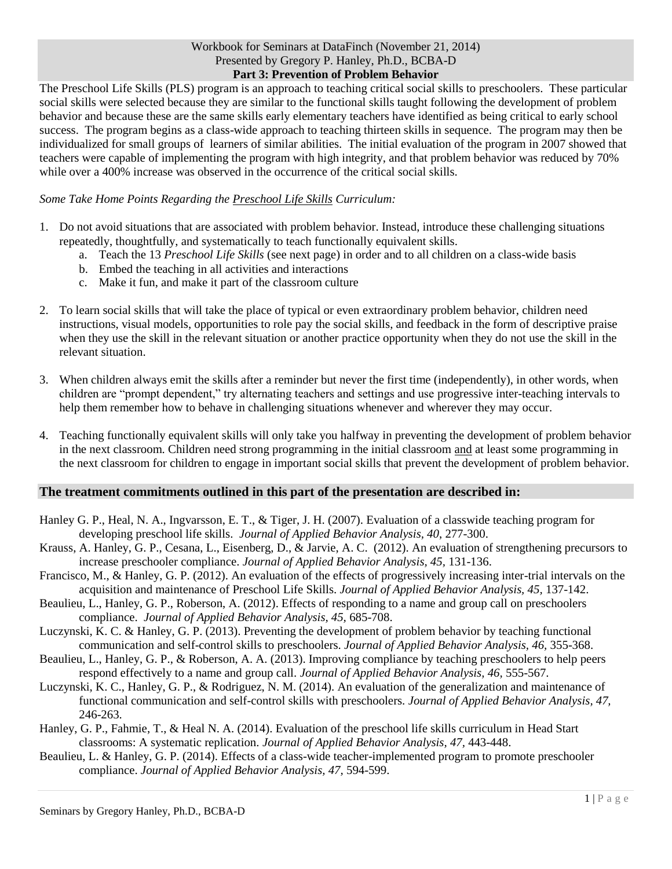## Workbook for Seminars at DataFinch (November 21, 2014) Presented by Gregory P. Hanley, Ph.D., BCBA-D **Part 3: Prevention of Problem Behavior**

The Preschool Life Skills (PLS) program is an approach to teaching critical social skills to preschoolers. These particular social skills were selected because they are similar to the functional skills taught following the development of problem behavior and because these are the same skills early elementary teachers have identified as being critical to early school success. The program begins as a class-wide approach to teaching thirteen skills in sequence. The program may then be individualized for small groups of learners of similar abilities. The initial evaluation of the program in 2007 showed that teachers were capable of implementing the program with high integrity, and that problem behavior was reduced by 70% while over a 400% increase was observed in the occurrence of the critical social skills.

## *Some Take Home Points Regarding the Preschool Life Skills Curriculum:*

- 1. Do not avoid situations that are associated with problem behavior. Instead, introduce these challenging situations repeatedly, thoughtfully, and systematically to teach functionally equivalent skills.
	- a. Teach the 13 *Preschool Life Skills* (see next page) in order and to all children on a class-wide basis
	- b. Embed the teaching in all activities and interactions
	- c. Make it fun, and make it part of the classroom culture
- 2. To learn social skills that will take the place of typical or even extraordinary problem behavior, children need instructions, visual models, opportunities to role pay the social skills, and feedback in the form of descriptive praise when they use the skill in the relevant situation or another practice opportunity when they do not use the skill in the relevant situation.
- 3. When children always emit the skills after a reminder but never the first time (independently), in other words, when children are "prompt dependent," try alternating teachers and settings and use progressive inter-teaching intervals to help them remember how to behave in challenging situations whenever and wherever they may occur.
- 4. Teaching functionally equivalent skills will only take you halfway in preventing the development of problem behavior in the next classroom. Children need strong programming in the initial classroom and at least some programming in the next classroom for children to engage in important social skills that prevent the development of problem behavior.

## **The treatment commitments outlined in this part of the presentation are described in:**

- Hanley G. P., Heal, N. A., Ingvarsson, E. T., & Tiger, J. H. (2007). Evaluation of a classwide teaching program for developing preschool life skills. *Journal of Applied Behavior Analysis, 40*, 277-300.
- Krauss, A. Hanley, G. P., Cesana, L., Eisenberg, D., & Jarvie, A. C. (2012). An evaluation of strengthening precursors to increase preschooler compliance. *Journal of Applied Behavior Analysis, 45,* 131-136.
- Francisco, M., & Hanley, G. P. (2012). An evaluation of the effects of progressively increasing inter-trial intervals on the acquisition and maintenance of Preschool Life Skills. *Journal of Applied Behavior Analysis, 45,* 137-142.
- Beaulieu, L., Hanley, G. P., Roberson, A. (2012). Effects of responding to a name and group call on preschoolers compliance. *Journal of Applied Behavior Analysis, 45,* 685-708.
- Luczynski, K. C. & Hanley, G. P. (2013). Preventing the development of problem behavior by teaching functional communication and self-control skills to preschoolers. *Journal of Applied Behavior Analysis, 46,* 355-368.
- Beaulieu, L., Hanley, G. P., & Roberson, A. A. (2013). Improving compliance by teaching preschoolers to help peers respond effectively to a name and group call. *Journal of Applied Behavior Analysis, 46,* 555-567.
- Luczynski, K. C., Hanley, G. P., & Rodriguez, N. M. (2014). An evaluation of the generalization and maintenance of functional communication and self-control skills with preschoolers. *Journal of Applied Behavior Analysis, 47,*  246-263.
- Hanley, G. P., Fahmie, T., & Heal N. A. (2014). Evaluation of the preschool life skills curriculum in Head Start classrooms: A systematic replication. *Journal of Applied Behavior Analysis, 47,* 443-448.
- Beaulieu, L. & Hanley, G. P. (2014). Effects of a class-wide teacher-implemented program to promote preschooler compliance. *Journal of Applied Behavior Analysis, 47,* 594-599.